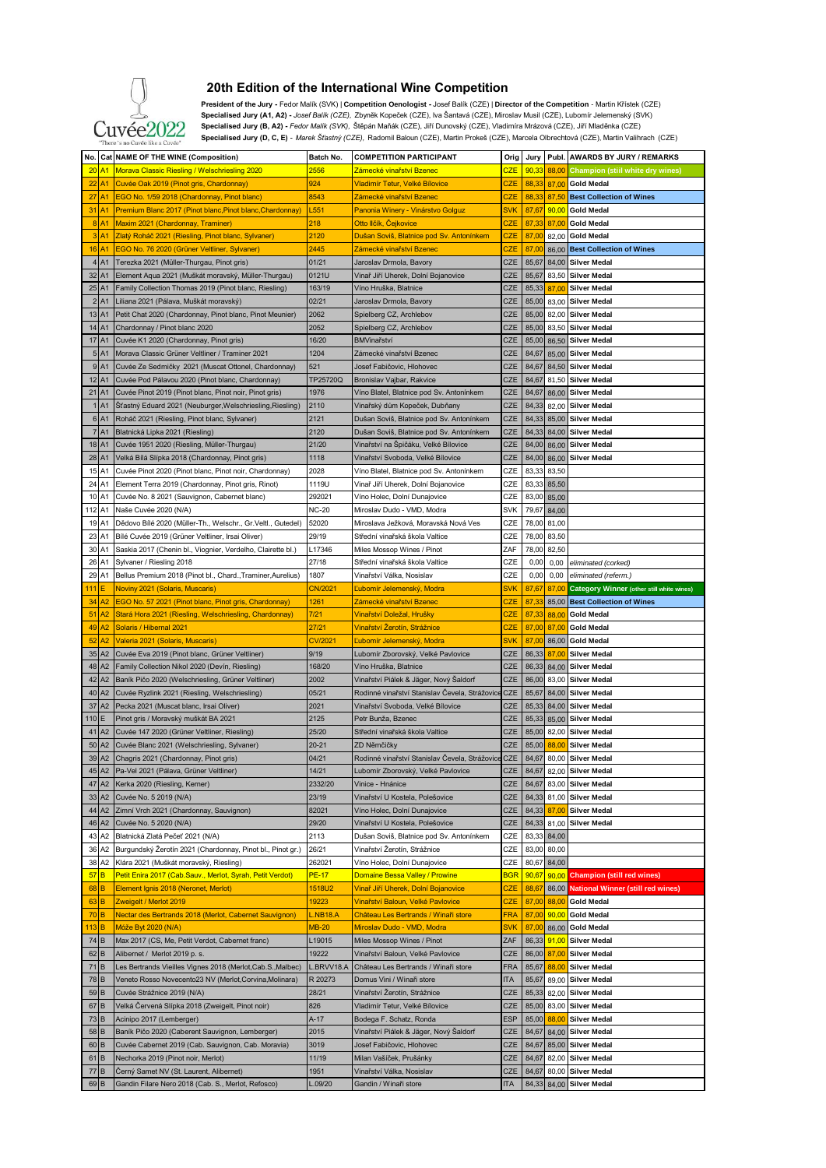

## **20th Edition of the International Wine Competition**

 **President of the Jury -** Fedor Malík (SVK) | **Competition Oenologist -** Josef Balík (CZE) | **Director of the Competition** - Martin Křístek (CZE) Specialised Jury (A1, A2) - Josef Balík (CZE), Zbyněk Kopeček (CZE), Va Santavá (CZE), Miroslav Musil (CZE), Lubomír Jelemenský (SVK)<br>TTÁA<sup>9</sup> Specialised Jury (B, A2) - Fedor Malík (SVK), Štěpán Maňák (CZE), Jiří Dunovský  **Specialised Jury (D, C, E)** *- Marek Šťastný (CZE),* Radomil Baloun (CZE), Martin Prokeš (CZE), Marcela Olbrechtová (CZE), Martin Valihrach (CZE)

|                                                                 | No. Cat NAME OF THE WINE (Composition)                      | Batch No.         | <b>COMPETITION PARTICIPANT</b>                 | Orig       | Jury  |       | Publ. AWARDS BY JURY / REMARKS                   |
|-----------------------------------------------------------------|-------------------------------------------------------------|-------------------|------------------------------------------------|------------|-------|-------|--------------------------------------------------|
| 20<br>A <sub>1</sub>                                            | Morava Classic Riesling / Welschriesling 2020               | <mark>2556</mark> | Zámecké vinařství Bzenec                       | <u>CZE</u> | 90,33 | 88,00 | Champion (stiil white dry wines)                 |
| $22$ A <sub>1</sub>                                             | Cuvée Oak 2019 (Pinot gris, Chardonnay)                     | 924               | Vladimír Tetur, Velké Bílovice                 | CZE        | 88,33 | 87,00 | <b>Gold Medal</b>                                |
| $27$ A <sub>1</sub>                                             | EGO No. 1/59 2018 (Chardonnay, Pinot blanc)                 | 8543              | Zámecké vinařství Bzenec                       | CZE        | 88,33 | 87,50 | <b>Best Collection of Wines</b>                  |
|                                                                 |                                                             |                   |                                                |            |       |       |                                                  |
| 31 A1                                                           | Premium Blanc 2017 (Pinot blanc, Pinot blanc, Chardonnay)   | L <sub>551</sub>  | Panonia Winery - Vinárstvo Golguz              | <b>SVK</b> | 87,67 |       | 90,00 Gold Medal                                 |
| $8$ $A1$                                                        | Maxim 2021 (Chardonnay, Traminer)                           | 218               | Otto Ilčík, Cejkovice                          | CZE        | 87,33 | 87,00 | <b>Gold Medal</b>                                |
| $3$ A <sub>1</sub>                                              | Zlatý Roháč 2021 (Riesling, Pinot blanc, Sylvaner)          | 2120              | Dušan Soviš, Blatnice pod Sv. Antonínkem       | CZE        | 87,00 | 82,00 | <b>Gold Medal</b>                                |
| 16<br>A1                                                        | EGO No. 76 2020 (Grüner Veltliner, Sylvaner)                | 2445              | Zámecké vinařství Bzenec                       | CZE        | 87,00 |       | 86,00 Best Collection of Wines                   |
| 4 A1                                                            | Terezka 2021 (Müller-Thurgau, Pinot gris)                   | 01/21             |                                                | CZE        | 85,67 | 84,00 | <b>Silver Medal</b>                              |
|                                                                 |                                                             |                   | Jaroslav Drmola, Bavory                        |            |       |       |                                                  |
| 32 A1                                                           | Element Aqua 2021 (Muškát moravský, Müller-Thurgau)         | 0121U             | Vinař Jiří Uherek, Dolní Bojanovice            | CZE        | 85,67 | 83,50 | <b>Silver Medal</b>                              |
| 25 A1                                                           | Family Collection Thomas 2019 (Pinot blanc, Riesling)       | 163/19            | Víno Hruška, Blatnice                          | CZE        | 85,33 | 87,00 | <b>Silver Medal</b>                              |
| 2 A1                                                            | Liliana 2021 (Pálava, Muškát moravský)                      | 02/21             | Jaroslav Drmola, Bavory                        | CZE        | 85,00 | 83,00 | <b>Silver Medal</b>                              |
| 13 A1                                                           | Petit Chat 2020 (Chardonnay, Pinot blanc, Pinot Meunier)    | 2062              | Spielberg CZ, Archlebov                        | CZE        | 85,00 | 82,00 | <b>Silver Medal</b>                              |
|                                                                 |                                                             |                   |                                                |            |       |       |                                                  |
| 14 A1                                                           | Chardonnay / Pinot blanc 2020                               | 2052              | Spielberg CZ, Archlebov                        | CZE        | 85,00 | 83,50 | <b>Silver Medal</b>                              |
| 17<br>A <sub>1</sub>                                            | Cuvée K1 2020 (Chardonnay, Pinot gris)                      | 16/20             | BMVinařství                                    | CZE        | 85,00 | 86,50 | <b>Silver Medal</b>                              |
| 5 A1                                                            | Morava Classic Grüner Veltliner / Traminer 2021             | 1204              | Zámecké vinařství Bzenec                       | <b>CZE</b> | 84,67 | 85,00 | <b>Silver Medal</b>                              |
| 9 A1                                                            | Cuvée Ze Sedmičky 2021 (Muscat Ottonel, Chardonnay)         | 521               | Josef Fabičovic, Hlohovec                      | CZE        | 84,67 |       | 84,50 Silver Medal                               |
|                                                                 |                                                             |                   |                                                |            |       |       |                                                  |
| 12 A1                                                           | Cuvée Pod Pálavou 2020 (Pinot blanc, Chardonnay)            | TP25720Q          | Bronislav Vajbar, Rakvice                      | CZE        | 84,67 | 81,50 | <b>Silver Medal</b>                              |
| 21 A1                                                           | Cuvée Pinot 2019 (Pinot blanc, Pinot noir, Pinot gris)      | 1976              | Víno Blatel, Blatnice pod Sv. Antonínkem       | CZE        | 84,67 |       | 86,00 Silver Medal                               |
| 1 A1                                                            | Šťastný Eduard 2021 (Neuburger, Welschriesling, Riesling)   | 2110              | Vinařský dům Kopeček, Dubňany                  | CZE        | 84,33 | 82,00 | <b>Silver Medal</b>                              |
| 6 A1                                                            | Roháč 2021 (Riesling, Pinot blanc, Sylvaner)                | 2121              | Dušan Soviš, Blatnice pod Sv. Antonínkem       | CZE        | 84,33 | 85,00 | <b>Silver Medal</b>                              |
|                                                                 |                                                             |                   |                                                |            |       |       |                                                  |
| 7 A1                                                            | Blatnická Lipka 2021 (Riesling)                             | 2120              | Dušan Soviš, Blatnice pod Sv. Antonínkem       | CZE        | 84,33 | 84,00 | <b>Silver Medal</b>                              |
| 18 A1                                                           | Cuvée 1951 2020 (Riesling, Müller-Thurgau)                  | 21/20             | Vinařství na Špičáku, Velké Bílovice           | CZE        | 84,00 | 86,00 | <b>Silver Medal</b>                              |
| 28 A1                                                           | Velká Bílá Slípka 2018 (Chardonnay, Pinot gris)             | 1118              | Vinařství Svoboda, Velké Bílovice              | CZE        | 84,00 | 86,00 | <b>Silver Medal</b>                              |
| 15 A1                                                           | Cuvée Pinot 2020 (Pinot blanc, Pinot noir, Chardonnay)      | 2028              | Víno Blatel, Blatnice pod Sv. Antonínkem       | CZE        | 83,33 | 83,50 |                                                  |
|                                                                 |                                                             |                   |                                                |            |       |       |                                                  |
| 24 A1                                                           | Element Terra 2019 (Chardonnay, Pinot gris, Rinot)          | 1119U             | Vinař Jiří Uherek, Dolní Bojanovice            | CZE        | 83,33 | 85,50 |                                                  |
| 10 A1                                                           | Cuvée No. 8 2021 (Sauvignon, Cabernet blanc)                | 292021            | Víno Holec, Dolní Dunajovice                   | CZE        | 83,00 | 85,00 |                                                  |
| 112 A1                                                          | Naše Cuvée 2020 (N/A)                                       | <b>NC-20</b>      | Miroslav Dudo - VMD, Modra                     | <b>SVK</b> | 79,67 | 84,00 |                                                  |
| 19 A1                                                           |                                                             | 52020             | Miroslava Ježková, Moravská Nová Ves           | CZE        | 78,00 |       |                                                  |
|                                                                 | Dědovo Bílé 2020 (Müller-Th., Welschr., Gr.Veltl., Gutedel) |                   |                                                |            |       | 81,00 |                                                  |
| 23<br>A1                                                        | Bílé Cuvée 2019 (Grüner Veltliner, Irsai Oliver)            | 29/19             | Střední vinařská škola Valtice                 | CZE        | 78,00 | 83,50 |                                                  |
| 30 A1                                                           | Saskia 2017 (Chenin bl., Viognier, Verdelho, Clairette bl.) | L17346            | Miles Mossop Wines / Pinot                     | ZAF        | 78,00 | 82,50 |                                                  |
| 26<br>A1                                                        | Sylvaner / Riesling 2018                                    | 27/18             | Střední vinařská škola Valtice                 | CZE        | 0,00  | 0,00  | eliminated (corked)                              |
| 29 A1                                                           | Bellus Premium 2018 (Pinot bl., Chard., Traminer, Aurelius) | 1807              | Vinařství Válka, Nosislav                      | CZE        | 0,00  |       |                                                  |
|                                                                 |                                                             |                   |                                                |            |       | 0,00  | eliminated (referm.)                             |
| 111                                                             | Noviny 2021 (Solaris, Muscaris)                             | CN/2021           | Ľubomír Jelemenský, Modra                      | <b>SVK</b> | 87,67 | 87,00 | <b>Category Winner (other still white wines)</b> |
| 34<br>A2                                                        | EGO No. 57 2021 (Pinot blanc, Pinot gris, Chardonnay)       | 1261              | Zámecké vinařství Bzenec                       | <b>CZE</b> | 87,33 |       | 85,00 Best Collection of Wines                   |
| 51<br>A2                                                        | Stará Hora 2021 (Riesling, Welschriesling, Chardonnay)      | 7/21              | <mark>Vinařství Doležal, Hrušky</mark>         | CZE        | 87,33 | 88,00 | <b>Gold Medal</b>                                |
| 49<br>А2                                                        | Solaris / Hibernal 2021                                     | 27/21             | Vinařství Žerotín, Strážnice                   | CZE        | 87,00 | 87,00 | <b>Gold Medal</b>                                |
|                                                                 |                                                             |                   |                                                |            |       |       |                                                  |
| 52<br>А2                                                        | Valeria 2021 (Solaris, Muscaris                             | CV/2021           | Ľubomír Jelemenský, Modra                      | <b>SVK</b> | 87,00 |       | 86,00 Gold Medal                                 |
| 35 A2                                                           | Cuvée Eva 2019 (Pinot blanc, Grüner Veltliner)              | 9/19              | Lubomír Zborovský, Velké Pavlovice             | CZE        | 86,33 | 87,00 | <b>Silver Medal</b>                              |
| 48 A2                                                           | Family Collection Nikol 2020 (Devín, Riesling)              | 168/20            | Víno Hruška, Blatnice                          | CZE        | 86,33 | 84,00 | <b>Silver Medal</b>                              |
| 42<br>A <sub>2</sub>                                            | Baník Pičo 2020 (Welschriesling, Grüner Veltliner)          | 2002              | Vinařství Piálek & Jäger, Nový Saldorf         | CZE        | 86,00 | 83,00 | <b>Silver Medal</b>                              |
|                                                                 |                                                             |                   |                                                |            |       |       |                                                  |
| 40 A2                                                           | Cuvée Ryzlink 2021 (Riesling, Welschriesling)               | 05/21             | Rodinné vinařství Stanislav Čevela, Strážovic  | <b>CZE</b> | 85,67 |       | 84,00 Silver Medal                               |
| 37<br>A <sub>2</sub>                                            | Pecka 2021 (Muscat blanc, Irsai Oliver)                     | 2021              | Vinařství Svoboda, Velké Bílovice              | CZE        | 85,33 | 84,00 | <b>Silver Medal</b>                              |
| 110 E                                                           | Pinot gris / Moravský muškát BA 2021                        | 2125              | Petr Bunža, Bzenec                             | CZE        | 85,33 | 85,00 | <b>Silver Medal</b>                              |
| 41<br>A2                                                        | Cuvée 147 2020 (Grüner Veltliner, Riesling)                 | 25/20             | Střední vinařská škola Valtice                 | CZE        | 85,00 | 82,00 | <b>Silver Medal</b>                              |
| A <sub>2</sub><br>50                                            | Cuvée Blanc 2021 (Welschriesling, Sylvaner)                 | $20 - 21$         | ZD Němčičky                                    | CZE        | 85,00 | 88.00 | <b>Silver Medal</b>                              |
|                                                                 |                                                             |                   |                                                |            |       |       |                                                  |
| 39 A2                                                           | Chagris 2021 (Chardonnay, Pinot gris)                       | 04/21             | Rodinné vinařství Stanislav Čevela, Strážovice | <b>CZE</b> | 84,67 |       | 80,00 Silver Medal                               |
|                                                                 | 45 A2 Pa-Vel 2021 (Pálava, Grüner Veltliner)                | 14/21             | Lubomír Zborovský, Velké Pavlovice             | CZE        | 84,67 |       | 82,00 Silver Medal                               |
| 47 A2                                                           | Kerka 2020 (Riesling, Kerner)                               | 2332/20           | Vinice - Hnánice                               | CZE        | 84,67 | 83,00 | <b>Silver Medal</b>                              |
| 33<br>A2                                                        | Cuvée No. 5 2019 (N/A)                                      | 23/19             | Vinařství U Kostela, Polešovice                | CZE        | 84,33 | 81,00 | <b>Silver Medal</b>                              |
|                                                                 |                                                             |                   |                                                |            |       |       |                                                  |
| 44 A2                                                           | Zimní Vrch 2021 (Chardonnay, Sauvignon)                     | 82021             | Víno Holec, Dolní Dunajovice                   | CZE        | 84,33 | 87,00 | <b>Silver Medal</b>                              |
| 46<br>A <sub>2</sub>                                            | Cuvée No. 5 2020 (N/A)                                      | 29/20             | Vinařství U Kostela, Polešovice                | CZE        | 84,33 | 81,00 | <b>Silver Medal</b>                              |
| 43<br>A <sub>2</sub>                                            | Blatnická Zlatá Pečeť 2021 (N/A)                            | 2113              | Dušan Soviš, Blatnice pod Sv. Antonínkem       | CZE        | 83,33 | 84,00 |                                                  |
| 36<br>A <sub>2</sub>                                            | Burgundský Žerotín 2021 (Chardonnay, Pinot bl., Pinot gr.)  | 26/21             | Vinařství Žerotín, Strážnice                   | CZE        | 83,00 | 80,00 |                                                  |
|                                                                 |                                                             |                   |                                                |            |       |       |                                                  |
| 38<br>A <sub>2</sub>                                            | Klára 2021 (Muškát moravský, Riesling)                      | 262021            | Víno Holec, Dolní Dunajovice                   | CZE        | 80,67 | 84,00 |                                                  |
|                                                                 |                                                             | <b>PE-17</b>      | Domaine Bessa Valley / Prowine                 | <b>BGR</b> | 90,67 |       | 90,00 Champion (still red wines)                 |
|                                                                 | Petit Enira 2017 (Cab.Sauv., Merlot, Syrah, Petit Verdot)   |                   |                                                |            |       |       |                                                  |
|                                                                 | Element Ignis 2018 (Neronet, Merlot)                        | 1518U2            | Vinař Jiří Uherek, Dolní Bojanovice            | <b>CZE</b> | 88,67 | 86,00 | <b>National Winner (still red wines)</b>         |
|                                                                 |                                                             |                   |                                                |            |       |       |                                                  |
|                                                                 | Zweigelt / Merlot 2019                                      | 19223             | Vinařství Baloun, Velké Pavlovice              | CZE        | 87,00 | 88,00 | <b>Gold Medal</b>                                |
|                                                                 | Nectar des Bertrands 2018 (Merlot, Cabernet Sauvignon)      | <b>L.NB18.A</b>   | Château Les Bertrands / Winaři store           | FRA        | 87,00 | 90,00 | <b>Gold Medal</b>                                |
|                                                                 | Móže Byt 2020 (N/A)                                         | <b>MB-20</b>      | Miroslav Dudo - VMD, Modra                     | <b>SVK</b> | 87,00 | 86,00 | <b>Gold Medal</b>                                |
|                                                                 | Max 2017 (CS, Me, Petit Verdot, Cabernet franc)             | L19015            | Miles Mossop Wines / Pinot                     | ZAF        | 86,33 |       | <b>Silver Medal</b>                              |
|                                                                 |                                                             |                   |                                                |            |       | 91,00 |                                                  |
| $62$ B                                                          | Alibernet / Merlot 2019 p. s.                               | 19222             | Vinařství Baloun, Velké Pavlovice              | CZE        | 86,00 | 87,00 | <b>Silver Medal</b>                              |
| 57 B<br>68 B<br>$63$ B<br>$70$ <sub>B</sub><br>74 B<br>$71$ $B$ | Les Bertrands Vieilles Vignes 2018 (Merlot, Cab.S., Malbec) | L.BRVV18.A        | Château Les Bertrands / Winaři store           | <b>FRA</b> | 85,67 | 88,00 | <b>Silver Medal</b>                              |
| 78 B                                                            | Veneto Rosso Novecento23 NV (Merlot, Corvina, Molinara)     | R 20273           | Domus Vini / Winaři store                      | ITA        | 85,67 | 89,00 | <b>Silver Medal</b>                              |
|                                                                 |                                                             |                   |                                                |            |       |       |                                                  |
| 59 B                                                            | Cuvée Strážnice 2019 (N/A)                                  | 28/21             | Vinařství Žerotín, Strážnice                   | <b>CZE</b> | 85,33 | 82,00 | <b>Silver Medal</b>                              |
| 67<br>$\,$ B                                                    | Velká Červená Slípka 2018 (Zweigelt, Pinot noir)            | 826               | Vladimír Tetur, Velké Bílovice                 | CZE        | 85,00 | 83,00 | <b>Silver Medal</b>                              |
| $73$ <sub>B</sub>                                               | Acinipo 2017 (Lemberger)                                    | A-17              | Bodega F. Schatz, Ronda                        | <b>ESP</b> | 85,00 | 88,00 | Silver Medal                                     |
| 58 B                                                            | Baník Pičo 2020 (Caberent Sauvignon, Lemberger)             | 2015              | Vinařství Piálek & Jäger, Nový Šaldorf         | CZE        | 84,67 | 84,00 | <b>Silver Medal</b>                              |
|                                                                 |                                                             |                   |                                                |            |       |       |                                                  |
| 60 B                                                            | Cuvée Cabernet 2019 (Cab. Sauvignon, Cab. Moravia)          | 3019              | Josef Fabičovic, Hlohovec                      | CZE        | 84,67 | 85,00 | <b>Silver Medal</b>                              |
| $61$ $B$                                                        | Nechorka 2019 (Pinot noir, Merlot)                          | 11/19             | Milan Vašíček, Prušánky                        | CZE        | 84,67 | 82,00 | <b>Silver Medal</b>                              |
| $113$ B<br>77 B<br>69 <sub>B</sub>                              | Černý Samet NV (St. Laurent, Alibernet)                     | 1951              | Vinařství Válka, Nosislav                      | CZE        | 84,67 | 80,00 | <b>Silver Medal</b>                              |